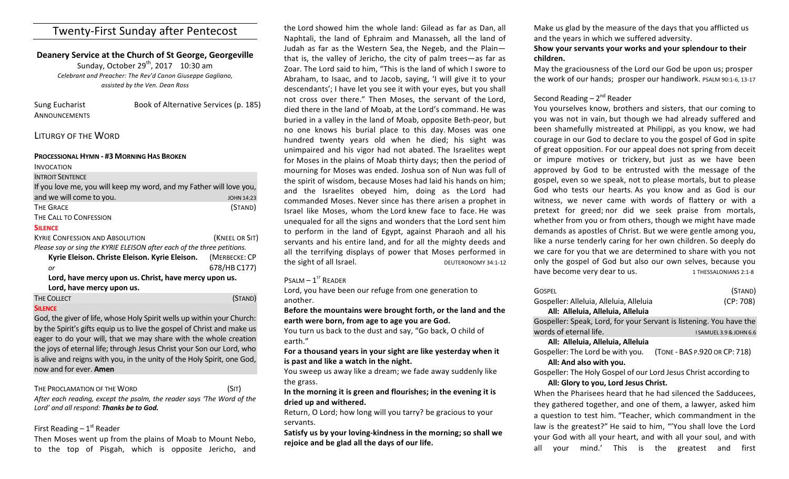# Twenty-First Sunday after Pentecost

## Deanery Service at the Church of St George, Georgeville

Sunday, October  $29^{th}$ , 2017 10:30 am *Celebrant and Preacher: The Rev'd Canon Giuseppe Gagliano, assisted by the Ven. Dean Ross*

| Sung Eucharist | Book of Alternative Services (p. 185) |
|----------------|---------------------------------------|
| ANNOUNCEMENTS  |                                       |

## LITURGY OF THE WORD

| <b>PROCESSIONAL HYMN - #3 MORNING HAS BROKEN</b>                        |                   |
|-------------------------------------------------------------------------|-------------------|
| <b>INVOCATION</b>                                                       |                   |
| <b>INTROIT SENTENCE</b>                                                 |                   |
| If you love me, you will keep my word, and my Father will love you,     |                   |
| and we will come to you.                                                | <b>JOHN 14:23</b> |
| <b>THE GRACE</b>                                                        | (STAND)           |
| THE CALL TO CONFESSION                                                  |                   |
| <b>SILENCE</b>                                                          |                   |
| <b>KYRIF CONFESSION AND ABSOLUTION</b>                                  | (KNEEL OR SIT)    |
| Please say or sing the KYRIE ELEISON after each of the three petitions. |                   |
| Kyrie Eleison. Christe Eleison. Kyrie Eleison.                          | (MERBECKE: CP     |
| or                                                                      | 678/HB C177)      |
| Lord, have mercy upon us. Christ, have mercy upon us.                   |                   |

Lord, have mercy upon us.

## THE COLLECT (STAND)

### **SILENCE**

God, the giver of life, whose Holy Spirit wells up within your Church: by the Spirit's gifts equip us to live the gospel of Christ and make us eager to do your will, that we may share with the whole creation the joys of eternal life; through Jesus Christ your Son our Lord, who is alive and reigns with you, in the unity of the Holy Spirit, one God, now and for ever. **Amen**

## THE PROCLAMATION OF THE WORD (SIT)

After each reading, except the psalm, the reader says 'The Word of the Lord' and all respond: Thanks be to God.

## First Reading  $-1<sup>st</sup>$  Reader

Then Moses went up from the plains of Moab to Mount Nebo, to the top of Pisgah, which is opposite Jericho, and

the Lord showed him the whole land: Gilead as far as Dan, all Naphtali, the land of Ephraim and Manasseh, all the land of Judah as far as the Western Sea, the Negeb, and the Plainthat is, the valley of Jericho, the city of palm trees—as far as Zoar. The Lord said to him, "This is the land of which I swore to Abraham, to Isaac, and to Jacob, saying, 'I will give it to your descendants'; I have let you see it with your eyes, but you shall not cross over there." Then Moses, the servant of the Lord, died there in the land of Moab, at the Lord's command. He was buried in a valley in the land of Moab, opposite Beth-peor, but no one knows his burial place to this day. Moses was one hundred twenty years old when he died; his sight was unimpaired and his vigor had not abated. The Israelites wept for Moses in the plains of Moab thirty days; then the period of mourning for Moses was ended. Joshua son of Nun was full of the spirit of wisdom, because Moses had laid his hands on him; and the Israelites obeyed him, doing as the Lord had commanded Moses. Never since has there arisen a prophet in Israel like Moses, whom the Lord knew face to face. He was unequaled for all the signs and wonders that the Lord sent him to perform in the land of Egypt, against Pharaoh and all his servants and his entire land, and for all the mighty deeds and all the terrifying displays of power that Moses performed in the sight of all Israel. The sight of all Israel.

 $P$ SALM –  $1<sup>ST</sup>$  READER

Lord, you have been our refuge from one generation to another.

Before the mountains were brought forth, or the land and the earth were born, from age to age you are God.

You turn us back to the dust and say, "Go back, O child of earth."

For a thousand years in your sight are like yesterday when it is past and like a watch in the night.

You sweep us away like a dream; we fade away suddenly like the grass.

In the morning it is green and flourishes; in the evening it is **dried up and withered.**

Return, O Lord; how long will you tarry? be gracious to your servants.

Satisfy us by your loving-kindness in the morning; so shall we rejoice and be glad all the days of our life.

Make us glad by the measure of the days that you afflicted us and the years in which we suffered adversity.

## Show your servants your works and your splendour to their **children.**

May the graciousness of the Lord our God be upon us; prosper the work of our hands; prosper our handiwork. PSALM 90:1-6, 13-17

## Second Reading  $- 2<sup>nd</sup>$  Reader

You yourselves know, brothers and sisters, that our coming to you was not in vain, but though we had already suffered and been shamefully mistreated at Philippi, as you know, we had courage in our God to declare to you the gospel of God in spite of great opposition. For our appeal does not spring from deceit or impure motives or trickery, but just as we have been approved by God to be entrusted with the message of the gospel, even so we speak, not to please mortals, but to please God who tests our hearts. As you know and as God is our witness, we never came with words of flattery or with a pretext for greed; nor did we seek praise from mortals, whether from you or from others, though we might have made demands as apostles of Christ. But we were gentle among you, like a nurse tenderly caring for her own children. So deeply do we care for you that we are determined to share with you not only the gospel of God but also our own selves, because you have become very dear to us. 1 THESSALONIANS 2:1-8

| <b>GOSPEL</b>                                                       | (STAND)                            |  |  |  |
|---------------------------------------------------------------------|------------------------------------|--|--|--|
| Gospeller: Alleluia, Alleluia, Alleluia                             | (CP: 708)                          |  |  |  |
| All: Alleluia, Alleluia, Alleluia                                   |                                    |  |  |  |
| Gospeller: Speak, Lord, for your Servant is listening. You have the |                                    |  |  |  |
| words of eternal life.                                              | <b>I SAMUEL 3.9 &amp; JOHN 6.6</b> |  |  |  |
| All: Alleluia, Alleluia, Alleluia                                   |                                    |  |  |  |
| Gospeller: The Lord be with you.                                    | (TONE - BAS P.920 OR CP: 718)      |  |  |  |
| All: And also with you.                                             |                                    |  |  |  |
| Gospeller: The Holy Gospel of our Lord Jesus Christ according to    |                                    |  |  |  |
| All: Glory to you, Lord Jesus Christ.                               |                                    |  |  |  |
| When the Pharisees heard that he had silenced the Sadducees,        |                                    |  |  |  |
| they gathered together, and one of them, a lawyer, asked him        |                                    |  |  |  |

a question to test him. "Teacher, which commandment in the law is the greatest?" He said to him, "'You shall love the Lord your God with all your heart, and with all your soul, and with all your mind.' This is the greatest and first